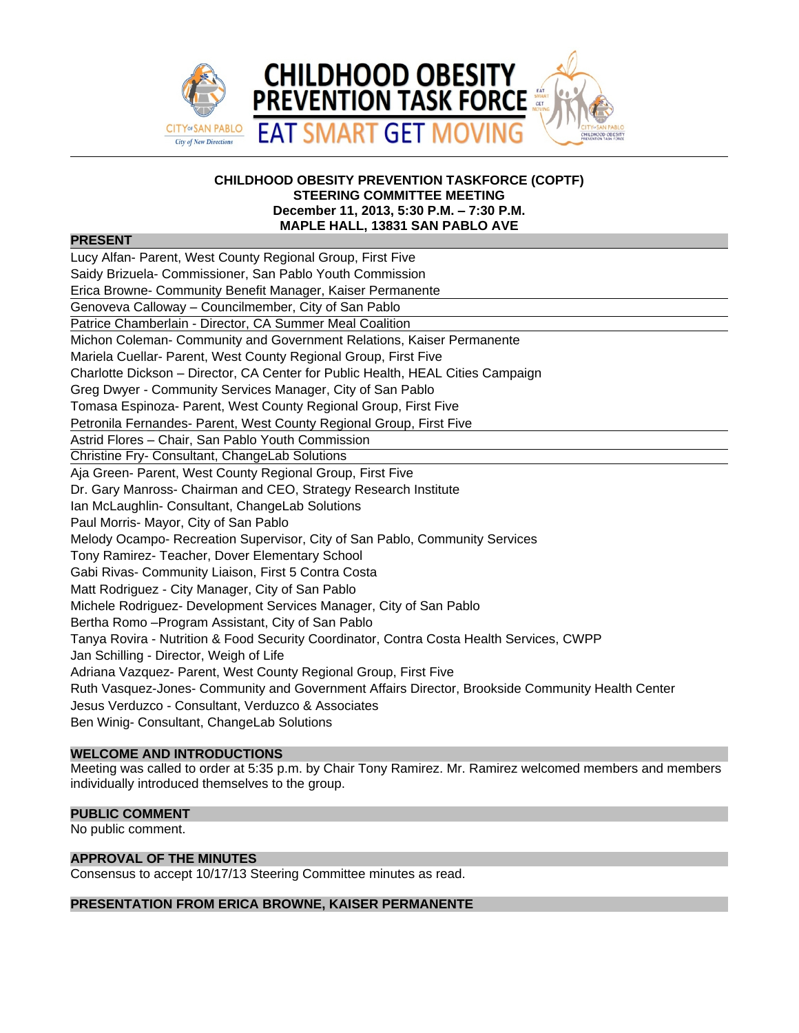

#### **CHILDHOOD OBESITY PREVENTION TASKFORCE (COPTF) STEERING COMMITTEE MEETING December 11, 2013, 5:30 P.M. – 7:30 P.M. MAPLE HALL, 13831 SAN PABLO AVE**

# **PRESENT**

| Lucy Alfan- Parent, West County Regional Group, First Five                                       |  |  |  |
|--------------------------------------------------------------------------------------------------|--|--|--|
| Saidy Brizuela- Commissioner, San Pablo Youth Commission                                         |  |  |  |
| Erica Browne- Community Benefit Manager, Kaiser Permanente                                       |  |  |  |
| Genoveva Calloway - Councilmember, City of San Pablo                                             |  |  |  |
| Patrice Chamberlain - Director, CA Summer Meal Coalition                                         |  |  |  |
| Michon Coleman- Community and Government Relations, Kaiser Permanente                            |  |  |  |
| Mariela Cuellar- Parent, West County Regional Group, First Five                                  |  |  |  |
| Charlotte Dickson – Director, CA Center for Public Health, HEAL Cities Campaign                  |  |  |  |
| Greg Dwyer - Community Services Manager, City of San Pablo                                       |  |  |  |
| Tomasa Espinoza- Parent, West County Regional Group, First Five                                  |  |  |  |
| Petronila Fernandes- Parent, West County Regional Group, First Five                              |  |  |  |
| Astrid Flores - Chair, San Pablo Youth Commission                                                |  |  |  |
| Christine Fry- Consultant, ChangeLab Solutions                                                   |  |  |  |
| Aja Green- Parent, West County Regional Group, First Five                                        |  |  |  |
| Dr. Gary Manross- Chairman and CEO, Strategy Research Institute                                  |  |  |  |
| Ian McLaughlin- Consultant, ChangeLab Solutions                                                  |  |  |  |
| Paul Morris- Mayor, City of San Pablo                                                            |  |  |  |
| Melody Ocampo- Recreation Supervisor, City of San Pablo, Community Services                      |  |  |  |
| Tony Ramirez- Teacher, Dover Elementary School                                                   |  |  |  |
| Gabi Rivas- Community Liaison, First 5 Contra Costa                                              |  |  |  |
| Matt Rodriguez - City Manager, City of San Pablo                                                 |  |  |  |
| Michele Rodriguez- Development Services Manager, City of San Pablo                               |  |  |  |
| Bertha Romo - Program Assistant, City of San Pablo                                               |  |  |  |
| Tanya Rovira - Nutrition & Food Security Coordinator, Contra Costa Health Services, CWPP         |  |  |  |
| Jan Schilling - Director, Weigh of Life                                                          |  |  |  |
| Adriana Vazquez- Parent, West County Regional Group, First Five                                  |  |  |  |
| Ruth Vasquez-Jones- Community and Government Affairs Director, Brookside Community Health Center |  |  |  |
| Jesus Verduzco - Consultant, Verduzco & Associates                                               |  |  |  |
| Ben Winig- Consultant, ChangeLab Solutions                                                       |  |  |  |
|                                                                                                  |  |  |  |

# **WELCOME AND INTRODUCTIONS**

Meeting was called to order at 5:35 p.m. by Chair Tony Ramirez. Mr. Ramirez welcomed members and members individually introduced themselves to the group.

## **PUBLIC COMMENT**

No public comment.

## **APPROVAL OF THE MINUTES**

Consensus to accept 10/17/13 Steering Committee minutes as read.

# **PRESENTATION FROM ERICA BROWNE, KAISER PERMANENTE**